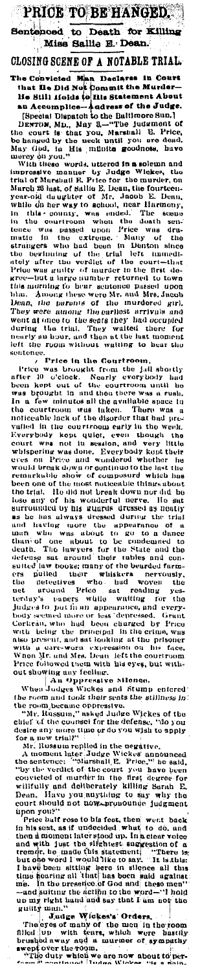PRICE TO BE HANGED. Sentenced to Death for Killing<br>Miss Sallie E. Dean.

CLOSING SCENE OF A NOTABLE TRIAL.

CLOSING SCENE OF A NOTABLE TRIAL.<br>The Convicted Man Decisions in Court that its Did Not Commit the Murder-<br>He Still ifside (of this Statement About an Accomplise--padress of the Just Statement About an Accomplise-padress

other, the boother of the Court of the County and the county and head to the count of the Court of the County and the price of the count of the count of the count of the count of the count of the count of the count of the oration. Find manyiers for the beat and the<br>deterase sat around their tables and considerating of the beard of the<br>states and consider the beat around their whisters are rously,<br>the around Pieto sat reading yes-<br>terday's n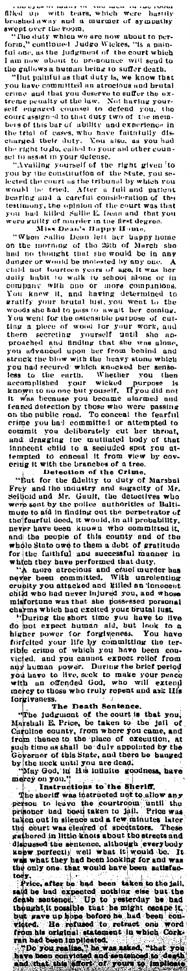The second term is not a second to the second to the second to the second to the second to the second term is not a second to the second term is not a second to the second term is not a set of the second term is not a set

the only one, that would have been satisfac-<br>to the price, after he bad been taken to the jail,<br>said he bad oxpected nothing eise but the satisface in the bad developed in the satisface<br>depth satisfaced. Up to yesterday he